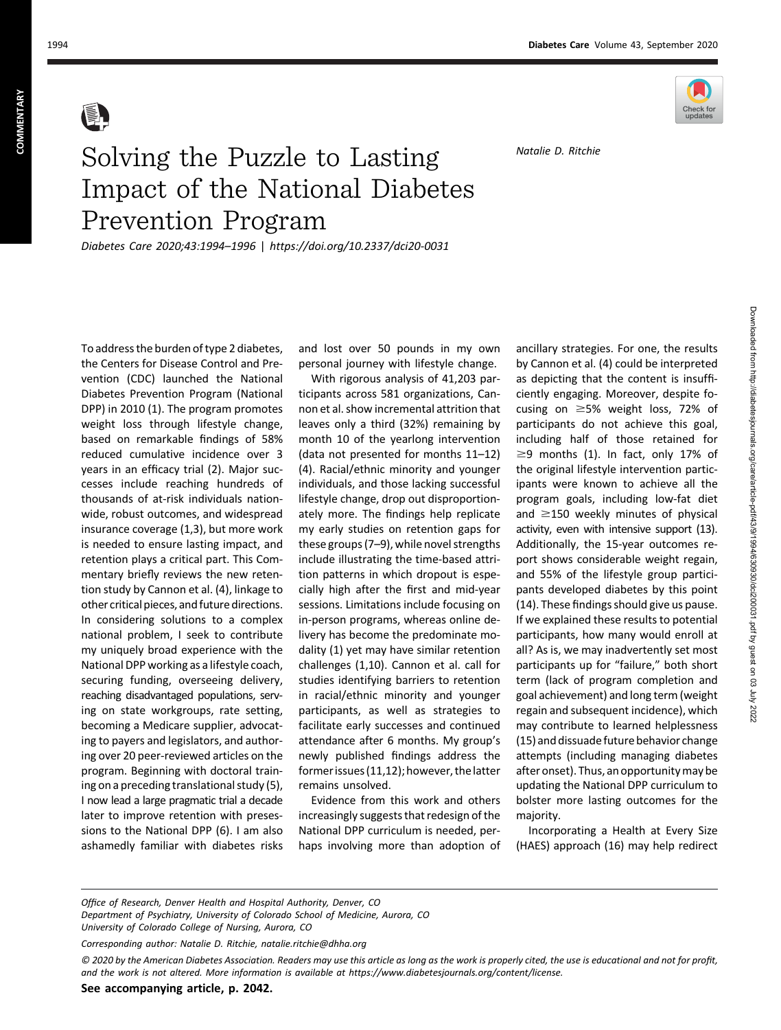

Natalie D. Ritchie

## Solving the Puzzle to Lasting Prevention Program

Prevention Program Diabetes Care 2020;43:1994–1996 | <https://doi.org/10.2337/dci20-0031>

To address the burden of type 2 diabetes, the Centers for Disease Control and Prevention (CDC) launched the National Diabetes Prevention Program (National DPP) in 2010 (1). The program promotes weight loss through lifestyle change, based on remarkable findings of 58% reduced cumulative incidence over 3 years in an efficacy trial (2). Major successes include reaching hundreds of thousands of at-risk individuals nationwide, robust outcomes, and widespread insurance coverage (1,3), but more work is needed to ensure lasting impact, and retention plays a critical part. This Commentary briefly reviews the new retention study by Cannon et al. (4), linkage to other critical pieces, and future directions. In considering solutions to a complex national problem, I seek to contribute my uniquely broad experience with the National DPP working as a lifestyle coach, securing funding, overseeing delivery, reaching disadvantaged populations, serving on state workgroups, rate setting, becoming a Medicare supplier, advocating to payers and legislators, and authoring over 20 peer-reviewed articles on the program. Beginning with doctoral training on a preceding translational study (5), I now lead a large pragmatic trial a decade later to improve retention with presessions to the National DPP (6). I am also ashamedly familiar with diabetes risks and lost over 50 pounds in my own personal journey with lifestyle change.

With rigorous analysis of 41,203 participants across 581 organizations, Cannon et al. show incremental attrition that leaves only a third (32%) remaining by month 10 of the yearlong intervention (data not presented for months 11–12) (4). Racial/ethnic minority and younger individuals, and those lacking successful lifestyle change, drop out disproportionately more. The findings help replicate my early studies on retention gaps for these groups (7–9), while novel strengths include illustrating the time-based attrition patterns in which dropout is especially high after the first and mid-year sessions. Limitations include focusing on in-person programs, whereas online delivery has become the predominate modality (1) yet may have similar retention challenges (1,10). Cannon et al. call for studies identifying barriers to retention in racial/ethnic minority and younger participants, as well as strategies to facilitate early successes and continued attendance after 6 months. My group's newly published findings address the former issues (11,12); however, the latter remains unsolved.

Evidence from this work and others increasingly suggests that redesign of the National DPP curriculum is needed, perhaps involving more than adoption of ancillary strategies. For one, the results by Cannon et al. (4) could be interpreted as depicting that the content is insufficiently engaging. Moreover, despite focusing on  $\geq$ 5% weight loss, 72% of participants do not achieve this goal, including half of those retained for  $\geq$ 9 months (1). In fact, only 17% of the original lifestyle intervention participants were known to achieve all the program goals, including low-fat diet and  $\geq$ 150 weekly minutes of physical activity, even with intensive support (13). Additionally, the 15-year outcomes report shows considerable weight regain, and 55% of the lifestyle group participants developed diabetes by this point (14). These findings should give us pause. If we explained these results to potential participants, how many would enroll at all? As is, we may inadvertently set most participants up for "failure," both short term (lack of program completion and goal achievement) and long term (weight regain and subsequent incidence), which may contribute to learned helplessness (15) and dissuade future behavior change attempts (including managing diabetes after onset). Thus, an opportunity may be updating the National DPP curriculum to bolster more lasting outcomes for the majority.

Incorporating a Health at Every Size (HAES) approach (16) may help redirect

© 2020 by the American Diabetes Association. Readers may use this article as long as the work is properly cited, the use is educational and not for profit, and the work is not altered. More information is available at<https://www.diabetesjournals.org/content/license>.

Office of Research, Denver Health and Hospital Authority, Denver, CO Department of Psychiatry, University of Colorado School of Medicine, Aurora, CO University of Colorado College of Nursing, Aurora, CO

Corresponding author: Natalie D. Ritchie, [natalie.ritchie@dhha.org](mailto:natalie.ritchie@dhha.org)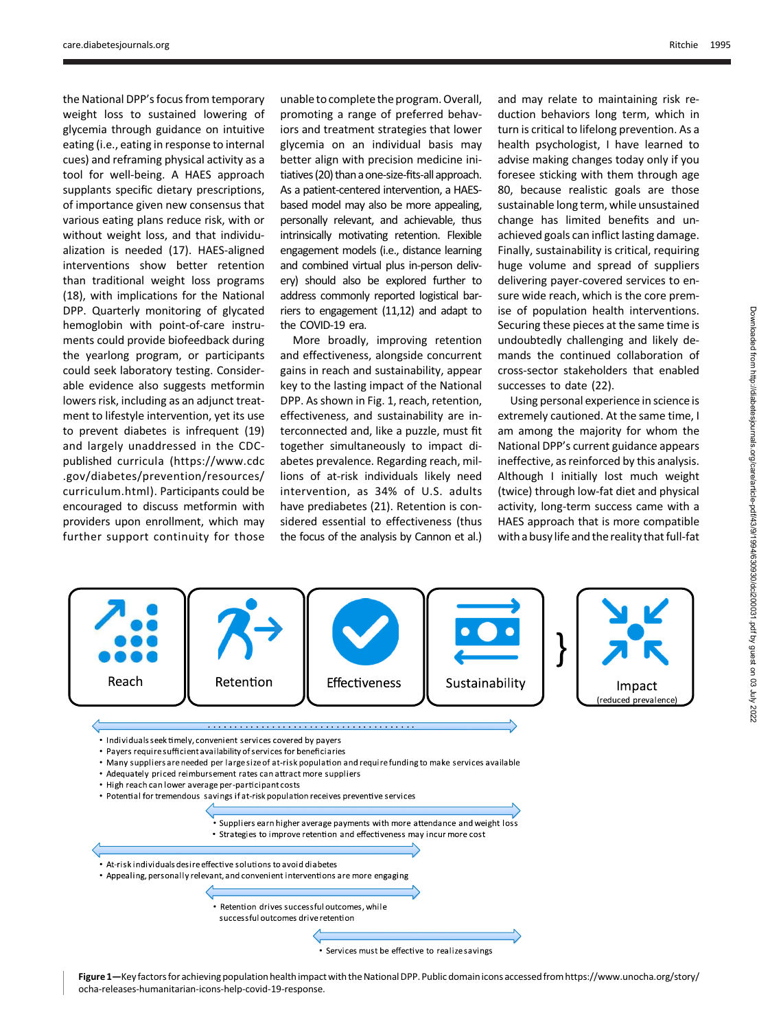the National DPP's focus from temporary weight loss to sustained lowering of glycemia through guidance on intuitive eating (i.e., eating in response to internal cues) and reframing physical activity as a tool for well-being. A HAES approach supplants specific dietary prescriptions, of importance given new consensus that various eating plans reduce risk, with or without weight loss, and that individualization is needed (17). HAES-aligned interventions show better retention than traditional weight loss programs (18), with implications for the National DPP. Quarterly monitoring of glycated hemoglobin with point-of-care instruments could provide biofeedback during the yearlong program, or participants could seek laboratory testing. Considerable evidence also suggests metformin lowers risk, including as an adjunct treatment to lifestyle intervention, yet its use to prevent diabetes is infrequent (19) and largely unaddressed in the CDCpublished curricula ([https://www.cdc](https://www.cdc.gov/diabetes/prevention/resources/curriculum.html) [.gov/diabetes/prevention/resources/](https://www.cdc.gov/diabetes/prevention/resources/curriculum.html) [curriculum.html](https://www.cdc.gov/diabetes/prevention/resources/curriculum.html)). Participants could be encouraged to discuss metformin with providers upon enrollment, which may further support continuity for those

unable to complete the program. Overall, promoting a range of preferred behaviors and treatment strategies that lower glycemia on an individual basis may better align with precision medicine initiatives (20) than a one-size-fits-all approach. As a patient-centered intervention, a HAESbased model may also be more appealing, personally relevant, and achievable, thus intrinsically motivating retention. Flexible engagement models (i.e., distance learning and combined virtual plus in-person delivery) should also be explored further to address commonly reported logistical barriers to engagement (11,12) and adapt to the COVID-19 era.

More broadly, improving retention and effectiveness, alongside concurrent gains in reach and sustainability, appear key to the lasting impact of the National DPP. As shown in Fig. 1, reach, retention, effectiveness, and sustainability are interconnected and, like a puzzle, must fit together simultaneously to impact diabetes prevalence. Regarding reach, millions of at-risk individuals likely need intervention, as 34% of U.S. adults have prediabetes (21). Retention is considered essential to effectiveness (thus the focus of the analysis by Cannon et al.) and may relate to maintaining risk reduction behaviors long term, which in turn is critical to lifelong prevention. As a health psychologist, I have learned to advise making changes today only if you foresee sticking with them through age 80, because realistic goals are those sustainable long term, while unsustained change has limited benefits and unachieved goals can inflict lasting damage. Finally, sustainability is critical, requiring huge volume and spread of suppliers delivering payer-covered services to ensure wide reach, which is the core premise of population health interventions. Securing these pieces at the same time is undoubtedly challenging and likely demands the continued collaboration of cross-sector stakeholders that enabled successes to date (22).

Using personal experience in science is extremely cautioned. At the same time, I am among the majority for whom the National DPP's current guidance appears ineffective, as reinforced by this analysis. Although I initially lost much weight (twice) through low-fat diet and physical activity, long-term success came with a HAES approach that is more compatible with a busy life and the reality that full-fat